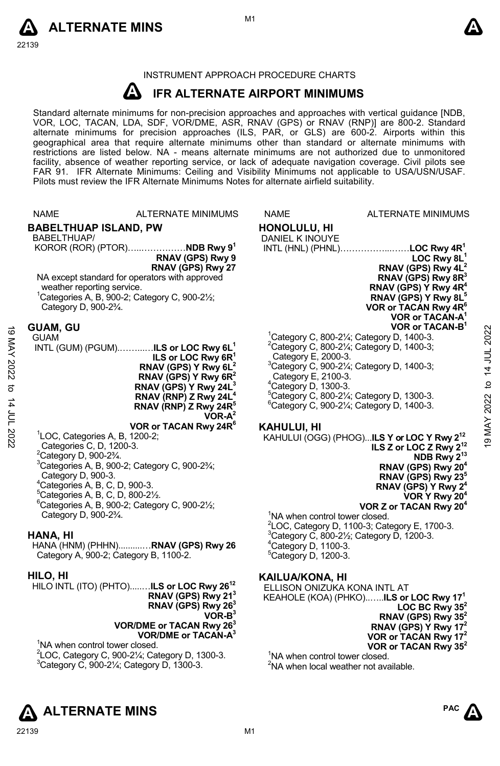



#### INSTRUMENT APPROACH PROCEDURE CHARTS

#### $\boldsymbol{\mu}$  **IFR ALTERNATE AIRPORT MINIMUMS**

Standard alternate minimums for non-precision approaches and approaches with vertical guidance [NDB,<br>VOR, LOC, TACAN, LDA, SDF, VOR/DME, ASR, RNAV (GPS) or RNAV (RNP)] are 800-2. Standard alternate minimums for precision approaches (ILS, PAR, or GLS) are 600-2. Airports within this geographical area that require alternate minimums other than standard or alternate minimums with restrictions are listed below. NA - means alternate minimums are not authorized due to unmonitored facility, absence of weather reporting service, or lack of adequate navigation coverage. Civil pilots see FAR 91. IFR Alternate Minimums: Ceiling and Visibility Minimums not applicable to USA/USN/USAF. Pilots must review the IFR Alternate Minimums Notes for alternate airfield suitability.

|                                   | <b>NAME</b>                                                                                                                                                                                                                                                                                                                                                                | <b>ALTERNATE MINIMUMS</b>                                                                                                                                                                                                                                                            | <b>NAME</b>                                                                                | <b>ALTERNATE MINIMUMS</b>                                                                                                                                                                                                                                                                                                                                                                                                                                                                    |
|-----------------------------------|----------------------------------------------------------------------------------------------------------------------------------------------------------------------------------------------------------------------------------------------------------------------------------------------------------------------------------------------------------------------------|--------------------------------------------------------------------------------------------------------------------------------------------------------------------------------------------------------------------------------------------------------------------------------------|--------------------------------------------------------------------------------------------|----------------------------------------------------------------------------------------------------------------------------------------------------------------------------------------------------------------------------------------------------------------------------------------------------------------------------------------------------------------------------------------------------------------------------------------------------------------------------------------------|
|                                   | <b>BABELTHUAP ISLAND, PW</b><br>BABELTHUAP/<br>weather reporting service.<br>Category D, 900-2 <sup>3</sup> / <sub>4</sub> .                                                                                                                                                                                                                                               | KOROR (ROR) (PTOR) NDB Rwy 9 <sup>1</sup><br>RNAV (GPS) Rwy 9<br>RNAV (GPS) Rwy 27<br>NA except standard for operators with approved<br><sup>1</sup> Categories A, B, 900-2; Category C, 900-2 $\frac{1}{2}$ ;                                                                       | <b>HONOLULU, HI</b><br>DANIEL K INOUYE                                                     | INTL (HNL) (PHNL)LOC Rwy 4R <sup>1</sup><br>LOC Rwy $8L1$<br>RNAV (GPS) Rwy 4L <sup>2</sup><br>RNAV (GPS) Rwy 8R <sup>3</sup><br>RNAV (GPS) Y Rwy 4R <sup>4</sup><br>RNAV (GPS) Y Rwy 8L <sup>5</sup><br>VOR or TACAN Rwy 4R <sup>6</sup>                                                                                                                                                                                                                                                    |
| 19 MAY 2022<br>đ<br>$14$ JUL 2022 | <b>GUAM, GU</b><br><b>GUAM</b><br>INTL (GUM) (PGUM)ILS or LOC Rwy 6L <sup>1</sup><br>ILS or LOC Rwy 6R <sup>1</sup><br>RNAV (GPS) Y Rwy 6L <sup>2</sup><br>RNAV (GPS) Y Rwy $6R^2$<br>RNAV (GPS) Y Rwy 24L <sup>3</sup><br>RNAV (RNP) Z Rwy 24L <sup>4</sup><br>RNAV (RNP) Z Rwy 24R <sup>°</sup><br>$VOR-A^2$                                                             |                                                                                                                                                                                                                                                                                      | Category E, 2000-3.<br>Category E, 2100-3.<br><sup>4</sup> Category D, 1300-3.             | VOR or TACAN-A<br>VOR or TACAN-B <sup>1</sup><br>2022<br><sup>1</sup> Category C, 800-2 $\frac{1}{4}$ ; Category D, 1400-3.<br>$2$ Category C, 800-2 $\frac{1}{4}$ ; Category D, 1400-3;<br>14 JUL<br><sup>3</sup> Category C, 900-21/ <sub>4</sub> ; Category D, 1400-3;<br>$\mathbf{c}$<br>$5$ Category C, 800-2 $\frac{1}{4}$ ; Category D, 1300-3.<br>2022<br>$^6$ Category C, 900-2 $\frac{1}{4}$ ; Category D, 1400-3.                                                                 |
|                                   | <sup>1</sup> LOC, Categories A, B, 1200-2;<br>Categories C, D, 1200-3.<br><sup>2</sup> Category D, 900-2 <sup>3</sup> / <sub>4</sub> .<br>Category D, 900-3.<br><sup>4</sup> Categories A, B, C, D, 900-3.<br>${}^5$ Categories A, B, C, D, 800-2 $\frac{1}{2}$ .<br>Category D, 900-2 <sup>3</sup> / <sub>4</sub> .<br>HANA, HI<br>Category A, 900-2; Category B, 1100-2. | VOR or TACAN Rwy 24R <sup>6</sup><br>$3$ Categories A, B, 900-2; Category C, 900-2 $\frac{3}{4}$ ;<br>${}^6$ Categories A, B, 900-2; Category C, 900-2 $\frac{1}{2}$ ;<br>HANA (HNM) (PHHN)RNAV (GPS) Rwy 26                                                                         | <b>KAHULUI, HI</b><br><sup>4</sup> Category D, 1100-3.<br><sup>5</sup> Category D, 1200-3. | <b>YANI 61</b><br>KAHULUI (OGG) (PHOG)ILS Y or LOC Y Rwy 2 <sup>12</sup><br>ILS Z or LOC Z Rwy 2 <sup>12</sup><br>NDB Rwy 2 <sup>13</sup><br>RNAV (GPS) Rwy 20 <sup>4</sup><br>RNAV (GPS) Rwy 23 <sup>5</sup><br>RNAV (GPS) Y Rwy 2 <sup>4</sup><br>VOR Y Rwy 20 <sup>4</sup><br>VOR Z or TACAN Rwy 20 <sup>4</sup><br><sup>1</sup> NA when control tower closed.<br>$2$ LOC, Category D, 1100-3; Category E, 1700-3.<br><sup>3</sup> Category C, 800-21/ <sub>2</sub> ; Category D, 1200-3. |
|                                   | HILO, HI<br><sup>1</sup> NA when control tower closed.<br><sup>3</sup> Category C, 900-21/ <sub>4</sub> ; Category D, 1300-3.                                                                                                                                                                                                                                              | HILO INTL (ITO) (PHTO)ILS or LOC Rwy 26 <sup>12</sup><br>RNAV (GPS) Rwy 21 <sup>3</sup><br>RNAV (GPS) Rwy 26 <sup>3</sup><br>$VOR-B3$<br>VOR/DME or TACAN Rwy 26 <sup>3</sup><br>VOR/DME or TACAN-A <sup>3</sup><br>$2^2$ LOC, Category C, 900-2 $\frac{1}{4}$ ; Category D, 1300-3. | <b>KAILUA/KONA, HI</b>                                                                     | ELLISON ONIZUKA KONA INTL AT<br>KEAHOLE (KOA) (PHKO)ILS or LOC Rwy 17 <sup>1</sup><br>LOC BC Rwy $35^2$<br>RNAV (GPS) Rwy 35 <sup>2</sup><br>RNAV (GPS) Y Rwy 17 <sup>2</sup><br>VOR or TACAN Rwy 17 <sup>2</sup><br>VOR or TACAN Rwy 35 <sup>2</sup><br><sup>1</sup> NA when control tower closed.<br><sup>2</sup> NA when local weather not available.                                                                                                                                     |



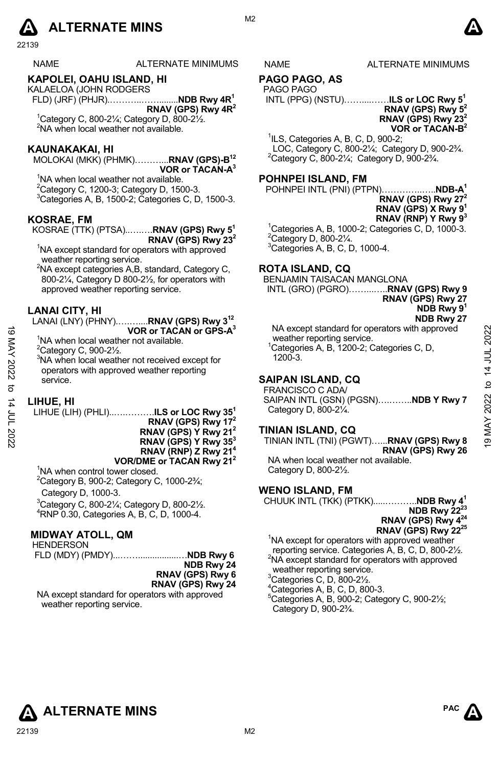# **A** ALTERNATE MINS  $\qquad \qquad \blacksquare$

22139

#### NAME ALTERNATE MINIMUMS NAME ALTERNATE MINIMUMS

#### **KAPOLEI, OAHU ISLAND, HI**

KALAELOA (JOHN RODGERS FLD) (JRF) (PHJR).………..……........**NDB Rwy 4R1 RNAV (GPS) Rwy 4R2**  $1$ Category C, 800-21⁄<sub>4</sub>; Category D, 800-21<sup> $\frac{1}{2}$ </sup>.

2 NA when local weather not available.

#### **KAUNAKAKAI, HI**

MOLOKAI (MKK) (PHMK)………...**RNAV (GPS)-B12 VOR or TACAN-A3** 

<sup>1</sup>NA when local weather not available.  $2$ Category C, 1200-3; Category D, 1500-3. 3 Categories A, B, 1500-2; Categories C, D, 1500-3.

#### **KOSRAE, FM**

KOSRAE (TTK) (PTSA)..….….**RNAV (GPS) Rwy 51 RNAV (GPS) Rwy 232** 

<sup>1</sup>NA except standard for operators with approved weather reporting service.

<sup>2</sup>NA except categories A,B, standard, Category C, 800-2¼, Category D 800-2½, for operators with approved weather reporting service.

#### **LANAI CITY, HI**

LANAI (LNY) (PHNY).….…....**RNAV (GPS) Rwy 312 VOR or TACAN or GPS-A3** 

<sup>1</sup>NA when local weather not available.

 $2^2$ Category C, 900-2 $\frac{1}{2}$ .

3 NA when local weather not received except for operators with approved weather reporting service.

#### **LIHUE, HI**

LIHUE (LIH) (PHLI)..….……….**ILS or LOC Rwy 351 RNAV (GPS) Rwy 172 RNAV (GPS) Y Rwy 212 RNAV (GPS) Y Rwy 353 RNAV (RNP) Z Rwy 214 VOR/DME or TACAN Rwy 212**  <sup>1</sup>NA when control tower closed. VOR or TACAN or GPS-A<sup>3</sup><br>
<sup>1</sup>NA when local weather not available.<br>
<sup>2</sup>Category C, 900-2<sup>1/2</sup>.<br>
<sup>2</sup>Category C, 900-2<sup>1/2</sup>.<br>
<sup>3</sup>NA when local weather not received except for<br>
<sup>2</sup>Categories A, B, 1200-3.<br>
<sup>2</sup>Categories C, D,

 $2^2$ Category B, 900-2; Category C, 1000-2 $\frac{3}{4}$ ; Category D, 1000-3.

 $3$ Category C, 800-2 $\frac{1}{4}$ ; Category D, 800-2 $\frac{1}{2}$ . 4 RNP 0.30, Categories A, B, C, D, 1000-4.

#### **MIDWAY ATOLL, QM**

**HENDERSON** 

 FLD (MDY) (PMDY)...…….................…**NDB Rwy 6 NDB Rwy 24 RNAV (GPS) Rwy 6** 

**RNAV (GPS) Rwy 24** 

NA except standard for operators with approved weather reporting service.

M<sub>2</sub>

## **PAGO PAGO, AS**

PAGO PAGO

 INTL (PPG) (NSTU)……....……**ILS or LOC Rwy 51 RNAV (GPS) Rwy 52**

**RNAV (GPS) Rwy 232 VOR or TACAN-B2**

 ${}^{1}$ ILS, Categories A, B, C, D, 900-2; LOC, Category C, 800-2¼; Category D, 900-2¾. 2 <sup>2</sup>Category C, 800-21⁄4; Category D, 900-23⁄4.

#### **POHNPEI ISLAND, FM**

POHNPEI INTL (PNI) (PTPN)…………..…..**NDB-A1**

| RNAV (GPS) Rwy 27 <sup>2</sup>  |
|---------------------------------|
| RNAV (GPS) X Rwy 9 <sup>1</sup> |
| RNAV (RNP) Y Rwy 9 <sup>3</sup> |

<sup>1</sup>Categories A, B, 1000-2; Categories C, D, 1000-3.  $2$ Category D, 800-2 $\frac{1}{4}$ . 3 Categories A, B, C, D, 1000-4.

#### **ROTA ISLAND, CQ**

BENJAMIN TAISACAN MANGLONA

INTL (GRO) (PGRO)……...…..**RNAV (GPS) Rwy 9** 

**RNAV (GPS) Rwy 27 NDB Rwy 91**

**NDB Rwy 27**  NA except standard for operators with approved weather reporting service. <sup>1</sup>Categories A, B, 1200-2; Categories C, D, 1200-3.

## **SAIPAN ISLAND, CQ**

 FRANCISCO C ADA/ SAIPAN INTL (GSN) (PGSN)….……..**NDB Y Rwy 7**  Category D, 800-2¼.

#### **TINIAN ISLAND, CQ**

TINIAN INTL (TNI) (PGWT)…...**RNAV (GPS) Rwy 8 RNAV (GPS) Rwy 26** 

NA when local weather not available. Category D, 800-2½.

#### **WENO ISLAND, FM**

CHUUK INTL (TKK) (PTKK).....………..**NDB Rwy 41 NDB Rwy 22<sup>23</sup> RNAV (GPS) Rwy 424 RNAV (GPS) Rwy 2225**

<sup>1</sup>NA except for operators with approved weather reporting service. Categories A, B, C, D, 800-21/2. <sup>2</sup>NA except standard for operators with approved weather reporting service.

 $3$ Categories C, D,  $800-2\frac{1}{2}$ .

4 Categories A, B, C, D, 800-3.

5 Categories A, B, 900-2; Category C, 900-2½; Category D, 900-2¾.



PAC **A**